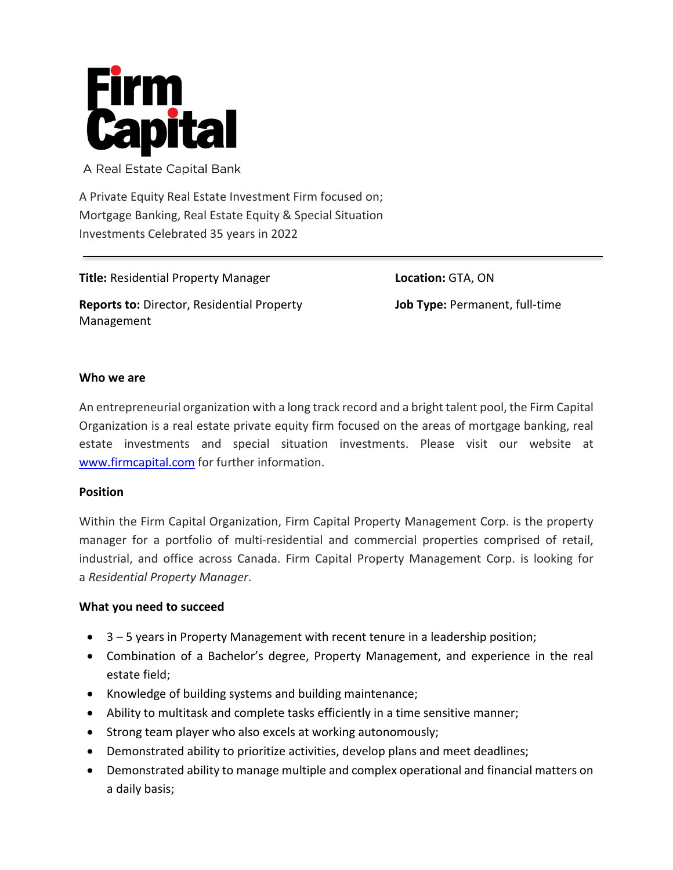

A Real Estate Capital Bank

A Private Equity Real Estate Investment Firm focused on; Mortgage Banking, Real Estate Equity & Special Situation Investments Celebrated 35 years in 2022

**Title:** Residential Property Manager

**Reports to:** Director, Residential Property Management

**Location:** GTA, ON **Job Type:** Permanent, full-time

### **Who we are**

An entrepreneurial organization with a long track record and a bright talent pool, the Firm Capital Organization is a real estate private equity firm focused on the areas of mortgage banking, real estate investments and special situation investments. Please visit our website at [www.firmcapital.com](http://www.firmcapital.com/) for further information.

#### **Position**

Within the Firm Capital Organization, Firm Capital Property Management Corp. is the property manager for a portfolio of multi-residential and commercial properties comprised of retail, industrial, and office across Canada. Firm Capital Property Management Corp. is looking for a *Residential Property Manager*.

### **What you need to succeed**

- 3 5 years in Property Management with recent tenure in a leadership position;
- Combination of a Bachelor's degree, Property Management, and experience in the real estate field;
- Knowledge of building systems and building maintenance;
- Ability to multitask and complete tasks efficiently in a time sensitive manner;
- Strong team player who also excels at working autonomously;
- Demonstrated ability to prioritize activities, develop plans and meet deadlines;
- Demonstrated ability to manage multiple and complex operational and financial matters on a daily basis;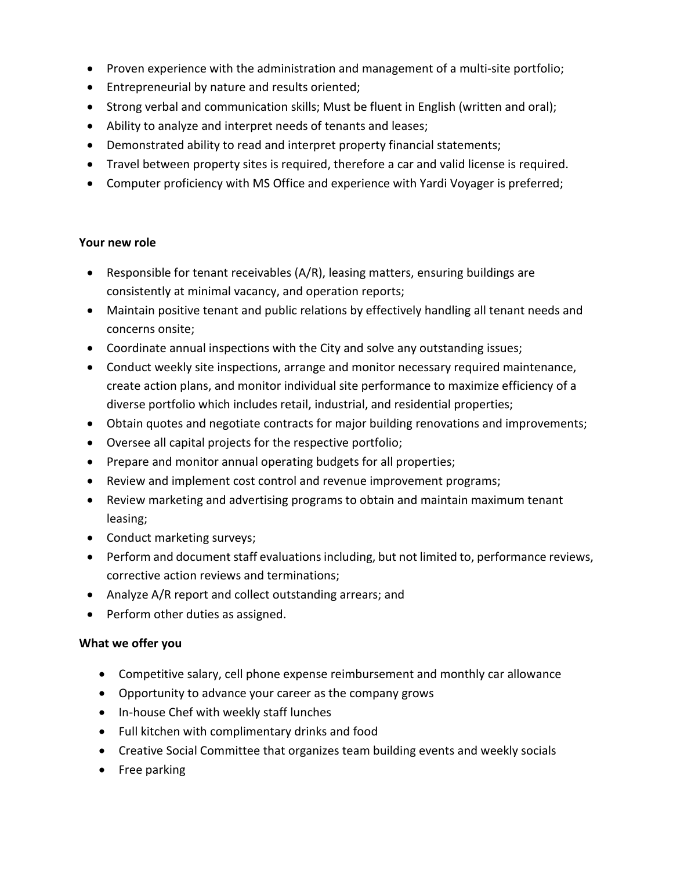- Proven experience with the administration and management of a multi-site portfolio;
- Entrepreneurial by nature and results oriented;
- Strong verbal and communication skills; Must be fluent in English (written and oral);
- Ability to analyze and interpret needs of tenants and leases;
- Demonstrated ability to read and interpret property financial statements;
- Travel between property sites is required, therefore a car and valid license is required.
- Computer proficiency with MS Office and experience with Yardi Voyager is preferred;

### **Your new role**

- Responsible for tenant receivables (A/R), leasing matters, ensuring buildings are consistently at minimal vacancy, and operation reports;
- Maintain positive tenant and public relations by effectively handling all tenant needs and concerns onsite;
- Coordinate annual inspections with the City and solve any outstanding issues;
- Conduct weekly site inspections, arrange and monitor necessary required maintenance, create action plans, and monitor individual site performance to maximize efficiency of a diverse portfolio which includes retail, industrial, and residential properties;
- Obtain quotes and negotiate contracts for major building renovations and improvements;
- Oversee all capital projects for the respective portfolio;
- Prepare and monitor annual operating budgets for all properties;
- Review and implement cost control and revenue improvement programs;
- Review marketing and advertising programs to obtain and maintain maximum tenant leasing;
- Conduct marketing surveys;
- Perform and document staff evaluations including, but not limited to, performance reviews, corrective action reviews and terminations;
- Analyze A/R report and collect outstanding arrears; and
- Perform other duties as assigned.

# **What we offer you**

- Competitive salary, cell phone expense reimbursement and monthly car allowance
- Opportunity to advance your career as the company grows
- In-house Chef with weekly staff lunches
- Full kitchen with complimentary drinks and food
- Creative Social Committee that organizes team building events and weekly socials
- Free parking